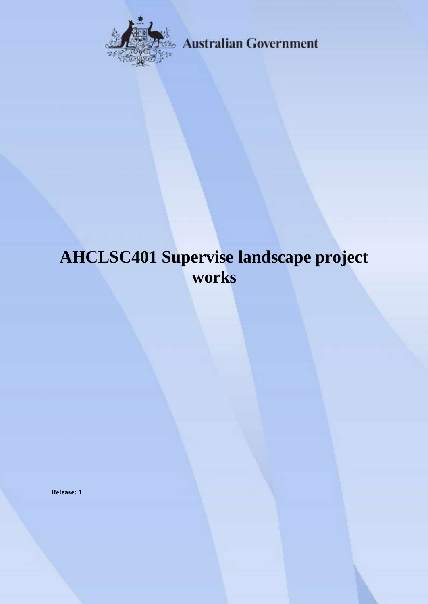

**Australian Government** 

# **AHCLSC401 Supervise landscape project works**

**Release: 1**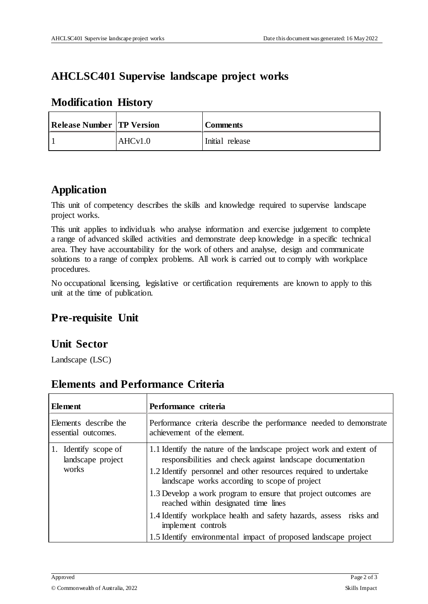### **AHCLSC401 Supervise landscape project works**

| <b>Release Number TP Version</b> |         | <b>Comments</b> |
|----------------------------------|---------|-----------------|
|                                  | AHCv1.0 | Initial release |

#### **Modification History**

## **Application**

This unit of competency describes the skills and knowledge required to supervise landscape project works.

This unit applies to individuals who analyse information and exercise judgement to complete a range of advanced skilled activities and demonstrate deep knowledge in a specific technical area. They have accountability for the work of others and analyse, design and communicate solutions to a range of complex problems. All work is carried out to comply with workplace procedures.

No occupational licensing, legislative or certification requirements are known to apply to this unit at the time of publication.

# **Pre-requisite Unit**

#### **Unit Sector**

Landscape (LSC)

| Element                                            | Performance criteria                                                                                                                                                                                                                                   |
|----------------------------------------------------|--------------------------------------------------------------------------------------------------------------------------------------------------------------------------------------------------------------------------------------------------------|
| Elements describe the<br>essential outcomes.       | Performance criteria describe the performance needed to demonstrate<br>achievement of the element.                                                                                                                                                     |
| 1. Identify scope of<br>landscape project<br>works | 1.1 Identify the nature of the landscape project work and extent of<br>responsibilities and check against landscape documentation<br>1.2 Identify personnel and other resources required to undertake<br>landscape works according to scope of project |
|                                                    | 1.3 Develop a work program to ensure that project outcomes are<br>reached within designated time lines                                                                                                                                                 |
|                                                    | 1.4 Identify workplace health and safety hazards, assess risks and<br>implement controls                                                                                                                                                               |
|                                                    | 1.5 Identify environmental impact of proposed landscape project                                                                                                                                                                                        |

### **Elements and Performance Criteria**